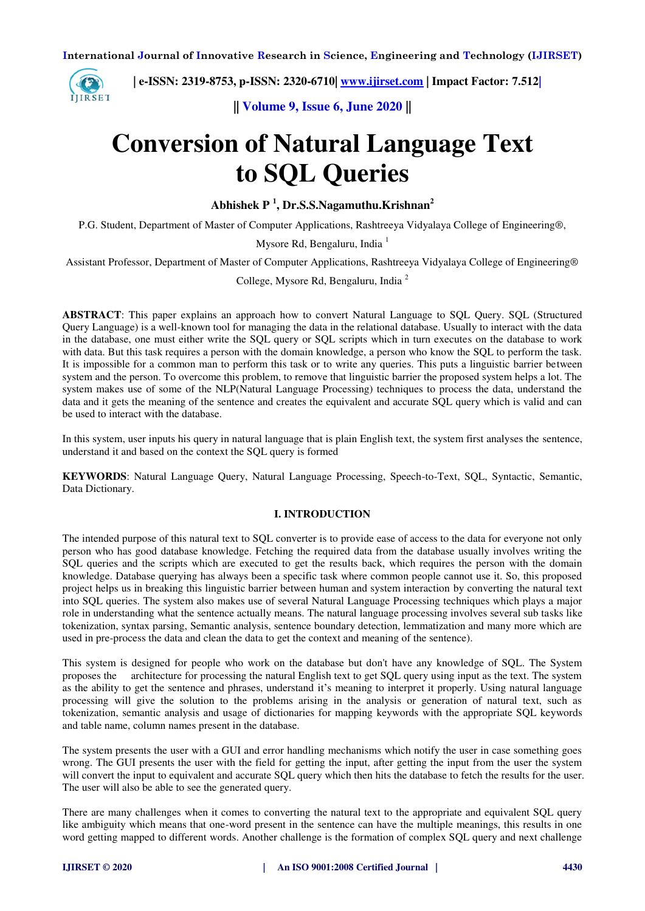

 **| e-ISSN: 2319-8753, p-ISSN: 2320-6710| [www.ijirset.com](http://www.ijirset.com/) | Impact Factor: 7.512|**

**|| Volume 9, Issue 6, June 2020 ||** 

# **Conversion of Natural Language Text to SQL Queries**

**Abhishek P <sup>1</sup> , Dr.S.S.Nagamuthu.Krishnan<sup>2</sup>**

P.G. Student, Department of Master of Computer Applications, Rashtreeya Vidyalaya College of Engineering®,

Mysore Rd, Bengaluru, India  $<sup>1</sup>$ </sup>

Assistant Professor, Department of Master of Computer Applications, Rashtreeya Vidyalaya College of Engineering®

College, Mysore Rd, Bengaluru, India <sup>2</sup>

**ABSTRACT**: This paper explains an approach how to convert Natural Language to SQL Query. SQL (Structured Query Language) is a well-known tool for managing the data in the relational database. Usually to interact with the data in the database, one must either write the SQL query or SQL scripts which in turn executes on the database to work with data. But this task requires a person with the domain knowledge, a person who know the SOL to perform the task. It is impossible for a common man to perform this task or to write any queries. This puts a linguistic barrier between system and the person. To overcome this problem, to remove that linguistic barrier the proposed system helps a lot. The system makes use of some of the NLP(Natural Language Processing) techniques to process the data, understand the data and it gets the meaning of the sentence and creates the equivalent and accurate SQL query which is valid and can be used to interact with the database.

In this system, user inputs his query in natural language that is plain English text, the system first analyses the sentence, understand it and based on the context the SQL query is formed

**KEYWORDS**: Natural Language Query, Natural Language Processing, Speech-to-Text, SQL, Syntactic, Semantic, Data Dictionary.

#### **I. INTRODUCTION**

The intended purpose of this natural text to SQL converter is to provide ease of access to the data for everyone not only person who has good database knowledge. Fetching the required data from the database usually involves writing the SQL queries and the scripts which are executed to get the results back, which requires the person with the domain knowledge. Database querying has always been a specific task where common people cannot use it. So, this proposed project helps us in breaking this linguistic barrier between human and system interaction by converting the natural text into SQL queries. The system also makes use of several Natural Language Processing techniques which plays a major role in understanding what the sentence actually means. The natural language processing involves several sub tasks like tokenization, syntax parsing, Semantic analysis, sentence boundary detection, lemmatization and many more which are used in pre-process the data and clean the data to get the context and meaning of the sentence).

This system is designed for people who work on the database but don't have any knowledge of SQL. The System proposes the architecture for processing the natural English text to get SQL query using input as the text. The system as the ability to get the sentence and phrases, understand it's meaning to interpret it properly. Using natural language processing will give the solution to the problems arising in the analysis or generation of natural text, such as tokenization, semantic analysis and usage of dictionaries for mapping keywords with the appropriate SQL keywords and table name, column names present in the database.

The system presents the user with a GUI and error handling mechanisms which notify the user in case something goes wrong. The GUI presents the user with the field for getting the input, after getting the input from the user the system will convert the input to equivalent and accurate SQL query which then hits the database to fetch the results for the user. The user will also be able to see the generated query.

There are many challenges when it comes to converting the natural text to the appropriate and equivalent SQL query like ambiguity which means that one-word present in the sentence can have the multiple meanings, this results in one word getting mapped to different words. Another challenge is the formation of complex SQL query and next challenge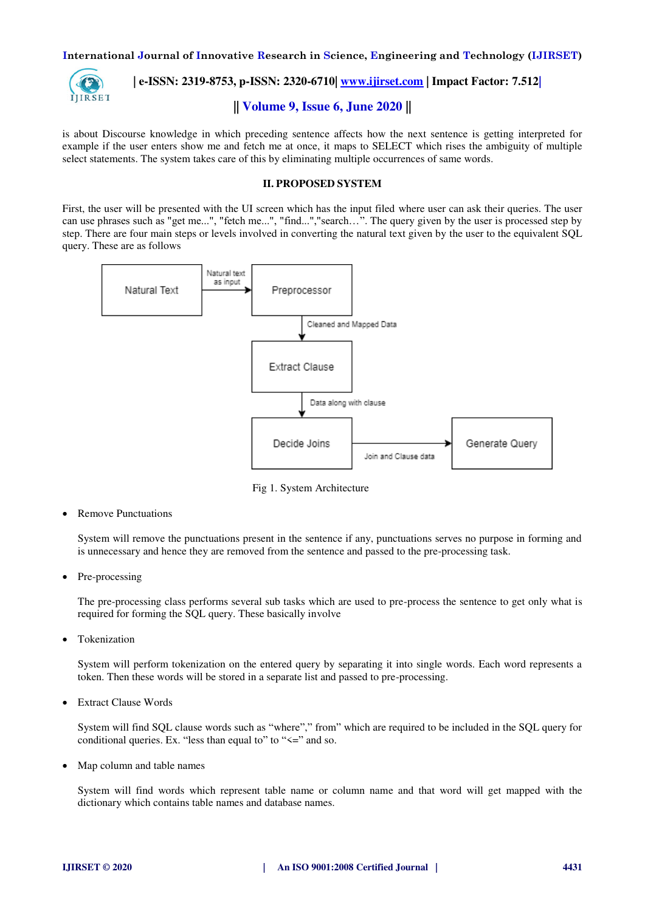

# **| e-ISSN: 2319-8753, p-ISSN: 2320-6710| [www.ijirset.com](http://www.ijirset.com/) | Impact Factor: 7.512|**

# **|| Volume 9, Issue 6, June 2020 ||**

is about Discourse knowledge in which preceding sentence affects how the next sentence is getting interpreted for example if the user enters show me and fetch me at once, it maps to SELECT which rises the ambiguity of multiple select statements. The system takes care of this by eliminating multiple occurrences of same words.

#### **II. PROPOSED SYSTEM**

First, the user will be presented with the UI screen which has the input filed where user can ask their queries. The user can use phrases such as "get me...", "fetch me...", "find...","search…". The query given by the user is processed step by step. There are four main steps or levels involved in converting the natural text given by the user to the equivalent SQL query. These are as follows



Fig 1. System Architecture

Remove Punctuations

System will remove the punctuations present in the sentence if any, punctuations serves no purpose in forming and is unnecessary and hence they are removed from the sentence and passed to the pre-processing task.

Pre-processing

The pre-processing class performs several sub tasks which are used to pre-process the sentence to get only what is required for forming the SQL query. These basically involve

**•** Tokenization

System will perform tokenization on the entered query by separating it into single words. Each word represents a token. Then these words will be stored in a separate list and passed to pre-processing.

Extract Clause Words

System will find SQL clause words such as "where"," from" which are required to be included in the SQL query for conditional queries. Ex. "less than equal to" to " $\leq$ " and so.

Map column and table names

System will find words which represent table name or column name and that word will get mapped with the dictionary which contains table names and database names.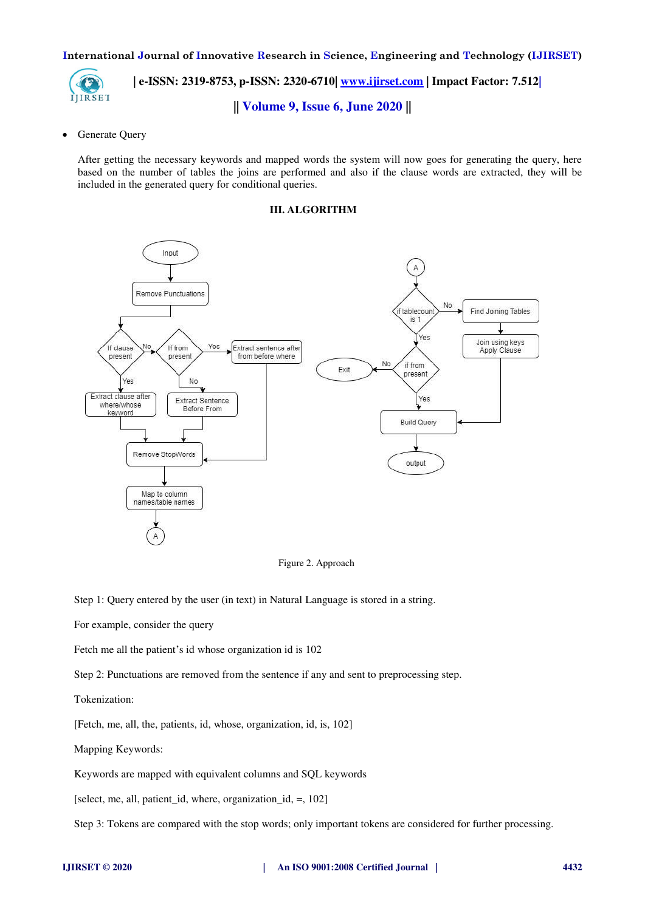

 **| e-ISSN: 2319-8753, p-ISSN: 2320-6710| [www.ijirset.com](http://www.ijirset.com/) | Impact Factor: 7.512|**

**|| Volume 9, Issue 6, June 2020 ||** 

Generate Query

After getting the necessary keywords and mapped words the system will now goes for generating the query, here based on the number of tables the joins are performed and also if the clause words are extracted, they will be included in the generated query for conditional queries.

#### **III. ALGORITHM**



Figure 2. Approach

Step 1: Query entered by the user (in text) in Natural Language is stored in a string.

For example, consider the query

Fetch me all the patient's id whose organization id is 102

Step 2: Punctuations are removed from the sentence if any and sent to preprocessing step.

Tokenization:

[Fetch, me, all, the, patients, id, whose, organization, id, is, 102]

Mapping Keywords:

Keywords are mapped with equivalent columns and SQL keywords

[select, me, all, patient id, where, organization id,  $=$ , 102]

Step 3: Tokens are compared with the stop words; only important tokens are considered for further processing.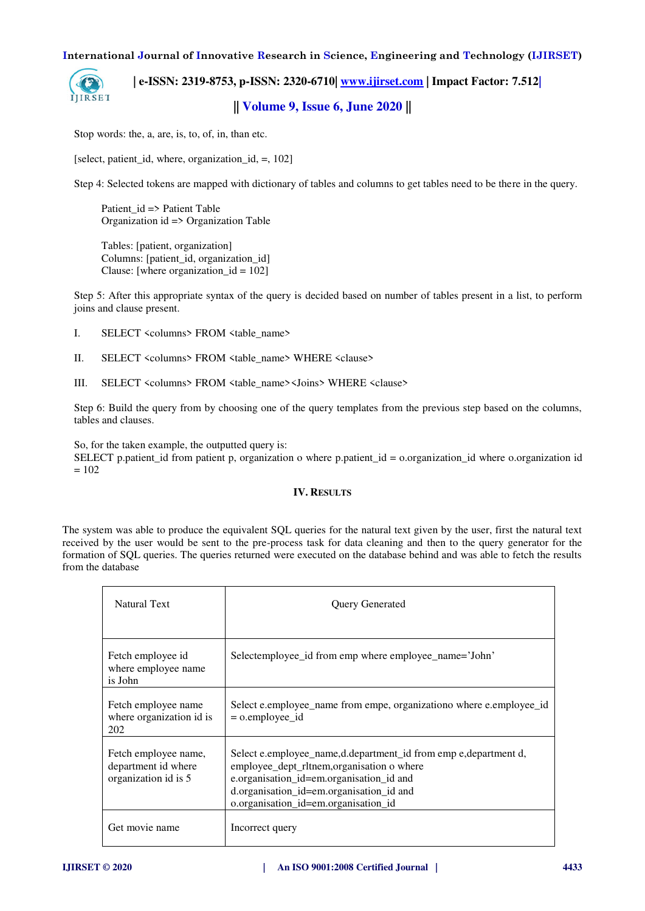

 **| e-ISSN: 2319-8753, p-ISSN: 2320-6710| [www.ijirset.com](http://www.ijirset.com/) | Impact Factor: 7.512|**

**|| Volume 9, Issue 6, June 2020 ||** 

Stop words: the, a, are, is, to, of, in, than etc.

[select, patient id, where, organization id,  $=$ , 102]

Step 4: Selected tokens are mapped with dictionary of tables and columns to get tables need to be there in the query.

 Patient\_id => Patient Table Organization id => Organization Table

 Tables: [patient, organization] Columns: [patient id, organization id] Clause: [where organization  $id = 102$ ]

Step 5: After this appropriate syntax of the query is decided based on number of tables present in a list, to perform joins and clause present.

- I. SELECT <columns> FROM <table\_name>
- II. SELECT <columns> FROM <table\_name> WHERE <clause>
- III. SELECT <columns> FROM <table\_name><Joins> WHERE <clause>

Step 6: Build the query from by choosing one of the query templates from the previous step based on the columns, tables and clauses.

So, for the taken example, the outputted query is:

SELECT p.patient\_id from patient p, organization o where p.patient\_id = o.organization\_id where o.organization id  $= 102$ 

#### **IV. RESULTS**

The system was able to produce the equivalent SQL queries for the natural text given by the user, first the natural text received by the user would be sent to the pre-process task for data cleaning and then to the query generator for the formation of SQL queries. The queries returned were executed on the database behind and was able to fetch the results from the database

| <b>Natural Text</b>                                                 | <b>Query Generated</b>                                                                                                                                                                                                                       |
|---------------------------------------------------------------------|----------------------------------------------------------------------------------------------------------------------------------------------------------------------------------------------------------------------------------------------|
| Fetch employee id<br>where employee name<br>is John                 | Selectemployee_id from emp where employee_name='John'                                                                                                                                                                                        |
| Fetch employee name<br>where organization id is<br>202              | Select e.employee_name from empe, organizationo where e.employee_id<br>$=$ 0.employee_id                                                                                                                                                     |
| Fetch employee name,<br>department id where<br>organization id is 5 | Select e.employee_name,d.department_id from emp e,department d,<br>employee_dept_rltnem,organisation o where<br>e.organisation_id=em.organisation_id and<br>d.organisation_id=em.organisation_id and<br>o.organisation_id=em.organisation_id |
| Get movie name                                                      | Incorrect query                                                                                                                                                                                                                              |